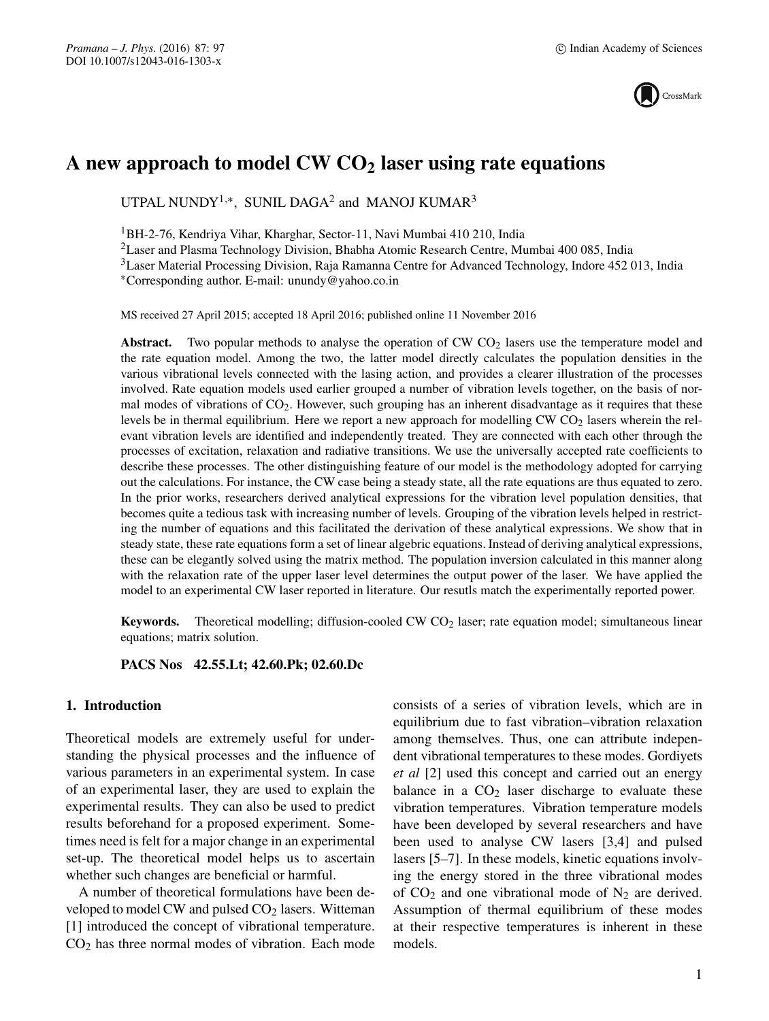

# **A new approach to model CW CO2 laser using rate equations**

UTPAL NUNDY<sup>1,\*</sup>, SUNIL DAGA<sup>2</sup> and MANOJ KUMAR<sup>3</sup>

1BH-2-76, Kendriya Vihar, Kharghar, Sector-11, Navi Mumbai 410 210, India

2Laser and Plasma Technology Division, Bhabha Atomic Research Centre, Mumbai 400 085, India

3Laser Material Processing Division, Raja Ramanna Centre for Advanced Technology, Indore 452 013, India

∗Corresponding author. E-mail: unundy@yahoo.co.in

MS received 27 April 2015; accepted 18 April 2016; published online 11 November 2016

**Abstract.** Two popular methods to analyse the operation of CW  $CO<sub>2</sub>$  lasers use the temperature model and the rate equation model. Among the two, the latter model directly calculates the population densities in the various vibrational levels connected with the lasing action, and provides a clearer illustration of the processes involved. Rate equation models used earlier grouped a number of vibration levels together, on the basis of normal modes of vibrations of  $CO<sub>2</sub>$ . However, such grouping has an inherent disadvantage as it requires that these levels be in thermal equilibrium. Here we report a new approach for modelling CW CO<sub>2</sub> lasers wherein the relevant vibration levels are identified and independently treated. They are connected with each other through the processes of excitation, relaxation and radiative transitions. We use the universally accepted rate coefficients to describe these processes. The other distinguishing feature of our model is the methodology adopted for carrying out the calculations. For instance, the CW case being a steady state, all the rate equations are thus equated to zero. In the prior works, researchers derived analytical expressions for the vibration level population densities, that becomes quite a tedious task with increasing number of levels. Grouping of the vibration levels helped in restricting the number of equations and this facilitated the derivation of these analytical expressions. We show that in steady state, these rate equations form a set of linear algebric equations. Instead of deriving analytical expressions, these can be elegantly solved using the matrix method. The population inversion calculated in this manner along with the relaxation rate of the upper laser level determines the output power of the laser. We have applied the model to an experimental CW laser reported in literature. Our resutls match the experimentally reported power.

**Keywords.** Theoretical modelling; diffusion-cooled CW CO<sub>2</sub> laser; rate equation model; simultaneous linear equations; matrix solution.

**PACS Nos 42.55.Lt; 42.60.Pk; 02.60.Dc**

# **1. Introduction**

Theoretical models are extremely useful for understanding the physical processes and the influence of various parameters in an experimental system. In case of an experimental laser, they are used to explain the experimental results. They can also be used to predict results beforehand for a proposed experiment. Sometimes need is felt for a major change in an experimental set-up. The theoretical model helps us to ascertain whether such changes are beneficial or harmful.

A number of theoretical formulations have been developed to model CW and pulsed  $CO<sub>2</sub>$  lasers. Witteman [1] introduced the concept of vibrational temperature.  $CO<sub>2</sub>$  has three normal modes of vibration. Each mode consists of a series of vibration levels, which are in equilibrium due to fast vibration–vibration relaxation among themselves. Thus, one can attribute independent vibrational temperatures to these modes. Gordiyets *et al* [2] used this concept and carried out an energy balance in a  $CO<sub>2</sub>$  laser discharge to evaluate these vibration temperatures. Vibration temperature models have been developed by several researchers and have been used to analyse CW lasers [3,4] and pulsed lasers [5–7]. In these models, kinetic equations involving the energy stored in the three vibrational modes of  $CO<sub>2</sub>$  and one vibrational mode of  $N<sub>2</sub>$  are derived. Assumption of thermal equilibrium of these modes at their respective temperatures is inherent in these models.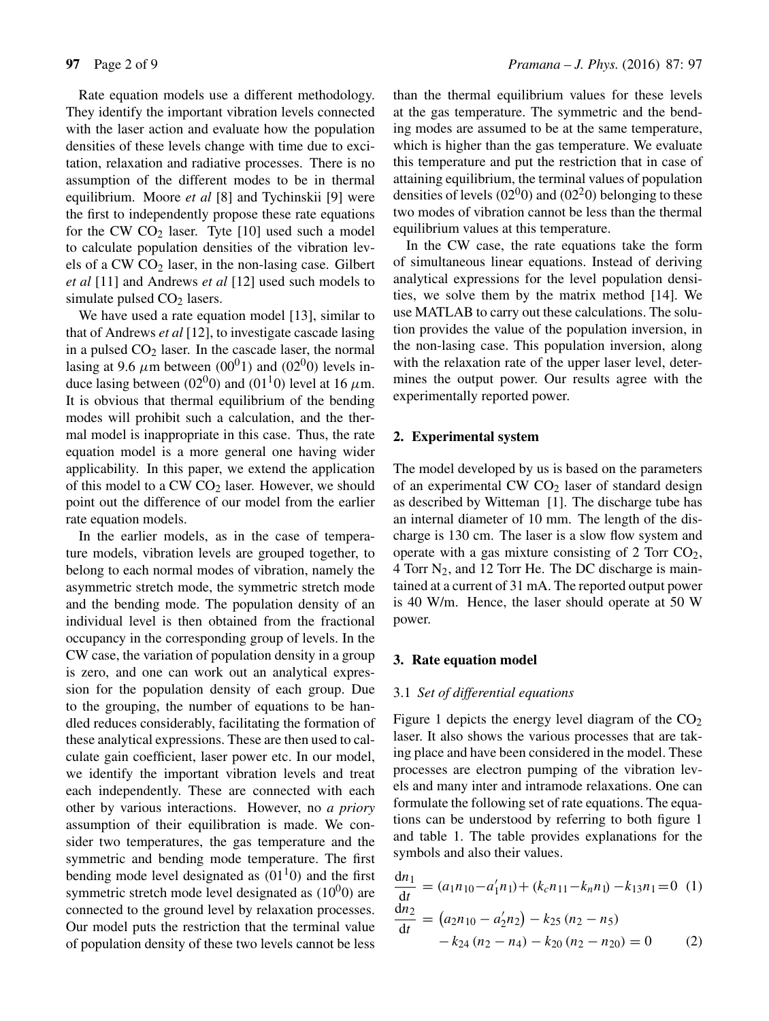Rate equation models use a different methodology. They identify the important vibration levels connected with the laser action and evaluate how the population densities of these levels change with time due to excitation, relaxation and radiative processes. There is no assumption of the different modes to be in thermal equilibrium. Moore *et al* [8] and Tychinskii [9] were the first to independently propose these rate equations for the CW  $CO<sub>2</sub>$  laser. Tyte [10] used such a model to calculate population densities of the vibration levels of a  $CW CO_2$  laser, in the non-lasing case. Gilbert *et al* [11] and Andrews *et al* [12] used such models to simulate pulsed  $CO<sub>2</sub>$  lasers.

We have used a rate equation model [13], similar to that of Andrews *et al* [12], to investigate cascade lasing in a pulsed  $CO<sub>2</sub>$  laser. In the cascade laser, the normal lasing at 9.6  $\mu$ m between (00<sup>0</sup>1) and (02<sup>0</sup>0) levels induce lasing between (02<sup>0</sup>0) and (01<sup>1</sup>0) level at 16  $\mu$ m. It is obvious that thermal equilibrium of the bending modes will prohibit such a calculation, and the thermal model is inappropriate in this case. Thus, the rate equation model is a more general one having wider applicability. In this paper, we extend the application of this model to a CW  $CO<sub>2</sub>$  laser. However, we should point out the difference of our model from the earlier rate equation models.

In the earlier models, as in the case of temperature models, vibration levels are grouped together, to belong to each normal modes of vibration, namely the asymmetric stretch mode, the symmetric stretch mode and the bending mode. The population density of an individual level is then obtained from the fractional occupancy in the corresponding group of levels. In the CW case, the variation of population density in a group is zero, and one can work out an analytical expression for the population density of each group. Due to the grouping, the number of equations to be handled reduces considerably, facilitating the formation of these analytical expressions. These are then used to calculate gain coefficient, laser power etc. In our model, we identify the important vibration levels and treat each independently. These are connected with each other by various interactions. However, no *a priory* assumption of their equilibration is made. We consider two temperatures, the gas temperature and the symmetric and bending mode temperature. The first bending mode level designated as  $(01<sup>1</sup>0)$  and the first symmetric stretch mode level designated as  $(10^{0}0)$  are connected to the ground level by relaxation processes. Our model puts the restriction that the terminal value of population density of these two levels cannot be less than the thermal equilibrium values for these levels at the gas temperature. The symmetric and the bending modes are assumed to be at the same temperature, which is higher than the gas temperature. We evaluate this temperature and put the restriction that in case of attaining equilibrium, the terminal values of population densities of levels  $(02^{0}0)$  and  $(02^{2}0)$  belonging to these two modes of vibration cannot be less than the thermal equilibrium values at this temperature.

In the CW case, the rate equations take the form of simultaneous linear equations. Instead of deriving analytical expressions for the level population densities, we solve them by the matrix method [14]. We use MATLAB to carry out these calculations. The solution provides the value of the population inversion, in the non-lasing case. This population inversion, along with the relaxation rate of the upper laser level, determines the output power. Our results agree with the experimentally reported power.

## **2. Experimental system**

The model developed by us is based on the parameters of an experimental CW  $CO<sub>2</sub>$  laser of standard design as described by Witteman [1]. The discharge tube has an internal diameter of 10 mm. The length of the discharge is 130 cm. The laser is a slow flow system and operate with a gas mixture consisting of  $2$  Torr  $CO<sub>2</sub>$ , 4 Torr N2, and 12 Torr He. The DC discharge is maintained at a current of 31 mA. The reported output power is 40 W/m. Hence, the laser should operate at 50 W power.

### **3. Rate equation model**

#### 3.1 *Set of differential equations*

Figure 1 depicts the energy level diagram of the  $CO<sub>2</sub>$ laser. It also shows the various processes that are taking place and have been considered in the model. These processes are electron pumping of the vibration levels and many inter and intramode relaxations. One can formulate the following set of rate equations. The equations can be understood by referring to both figure 1 and table 1. The table provides explanations for the symbols and also their values.

$$
\frac{dn_1}{dt} = (a_1 n_{10} - a'_1 n_1) + (k_c n_{11} - k_n n_1) - k_{13} n_1 = 0
$$
 (1)  

$$
\frac{dn_2}{dt} = (a_2 n_{10} - a'_2 n_2) - k_{25} (n_2 - n_5)
$$
  

$$
- k_{24} (n_2 - n_4) - k_{20} (n_2 - n_{20}) = 0
$$
 (2)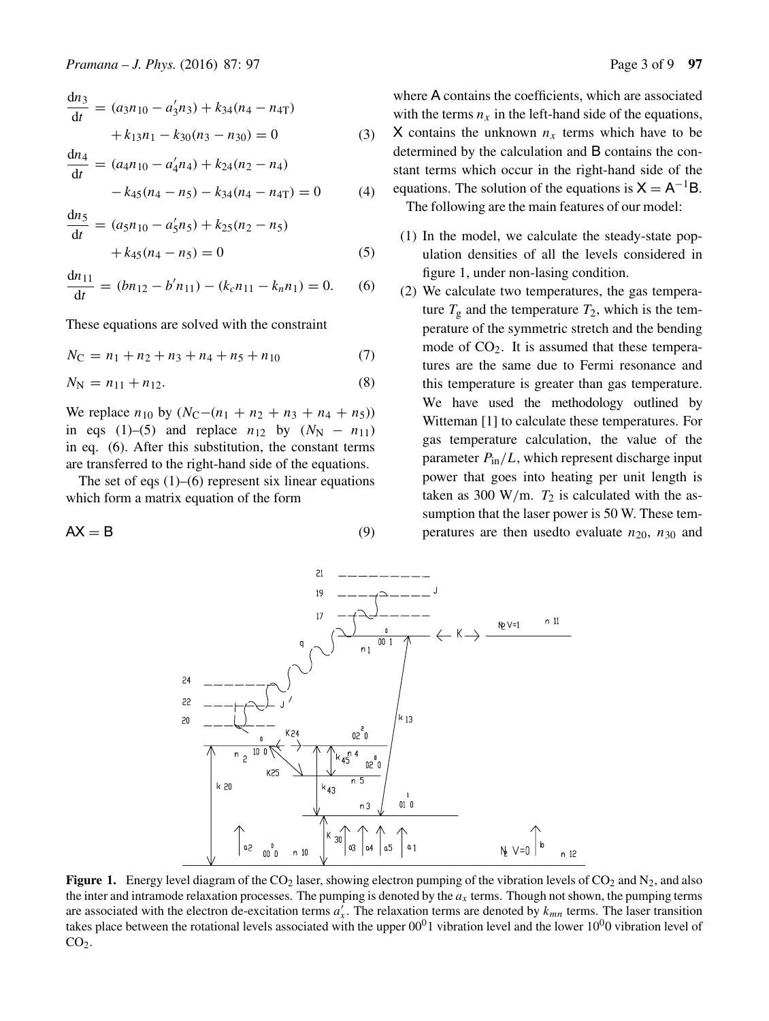$$
\frac{dn_3}{dt} = (a_3n_{10} - a'_3n_3) + k_{34}(n_4 - n_{4T})
$$
  
+ k\_{13}n\_1 - k\_{30}(n\_3 - n\_{30}) = 0 (3)

$$
\frac{dn_4}{dt} = (a_4 n_{10} - a'_4 n_4) + k_{24}(n_2 - n_4)
$$

$$
-k_{45}(n_4 - n_5) - k_{34}(n_4 - n_{4T}) = 0 \tag{4}
$$

$$
\frac{dn_5}{dt} = (a_5n_{10} - a'_5n_5) + k_{25}(n_2 - n_5) + k_{45}(n_4 - n_5) = 0
$$
\n(5)

$$
\frac{dn_{11}}{dt} = (bn_{12} - b'n_{11}) - (k_c n_{11} - k_n n_1) = 0.
$$
 (6)

These equations are solved with the constraint

 $N_{\rm C} = n_1 + n_2 + n_3 + n_4 + n_5 + n_{10}$  (7)

$$
N_{\rm N} = n_{11} + n_{12}.\tag{8}
$$

We replace  $n_{10}$  by  $(N_C-(n_1+n_2+n_3+n_4+n_5))$ in eqs (1)–(5) and replace  $n_{12}$  by  $(N_N - n_{11})$ in eq. (6). After this substitution, the constant terms are transferred to the right-hand side of the equations.

The set of eqs  $(1)$ – $(6)$  represent six linear equations which form a matrix equation of the form

$$
AX = B \tag{9}
$$

where A contains the coefficients, which are associated with the terms  $n_x$  in the left-hand side of the equations, X contains the unknown  $n<sub>x</sub>$  terms which have to be

determined by the calculation and B contains the constant terms which occur in the right-hand side of the equations. The solution of the equations is  $X = A^{-1}B$ .

The following are the main features of our model:

- (1) In the model, we calculate the steady-state population densities of all the levels considered in figure 1, under non-lasing condition.
- (2) We calculate two temperatures, the gas temperature  $T_g$  and the temperature  $T_2$ , which is the temperature of the symmetric stretch and the bending mode of  $CO<sub>2</sub>$ . It is assumed that these temperatures are the same due to Fermi resonance and this temperature is greater than gas temperature. We have used the methodology outlined by Witteman [1] to calculate these temperatures. For gas temperature calculation, the value of the parameter  $P_{\text{in}}/L$ , which represent discharge input power that goes into heating per unit length is taken as 300 W/m.  $T_2$  is calculated with the assumption that the laser power is 50 W. These temperatures are then usedto evaluate  $n_{20}$ ,  $n_{30}$  and



**Figure 1.** Energy level diagram of the CO<sub>2</sub> laser, showing electron pumping of the vibration levels of CO<sub>2</sub> and N<sub>2</sub>, and also the inter and intramode relaxation processes. The pumping is denoted by the  $a_x$  terms. Though not shown, the pumping terms are associated with the electron de-excitation terms  $a'_x$ . The relaxation terms are denoted by  $k_{mn}$  terms. The laser transition takes place between the rotational levels associated with the upper  $00^01$  vibration level and the lower  $10^00$  vibration level of  $CO<sub>2</sub>$ .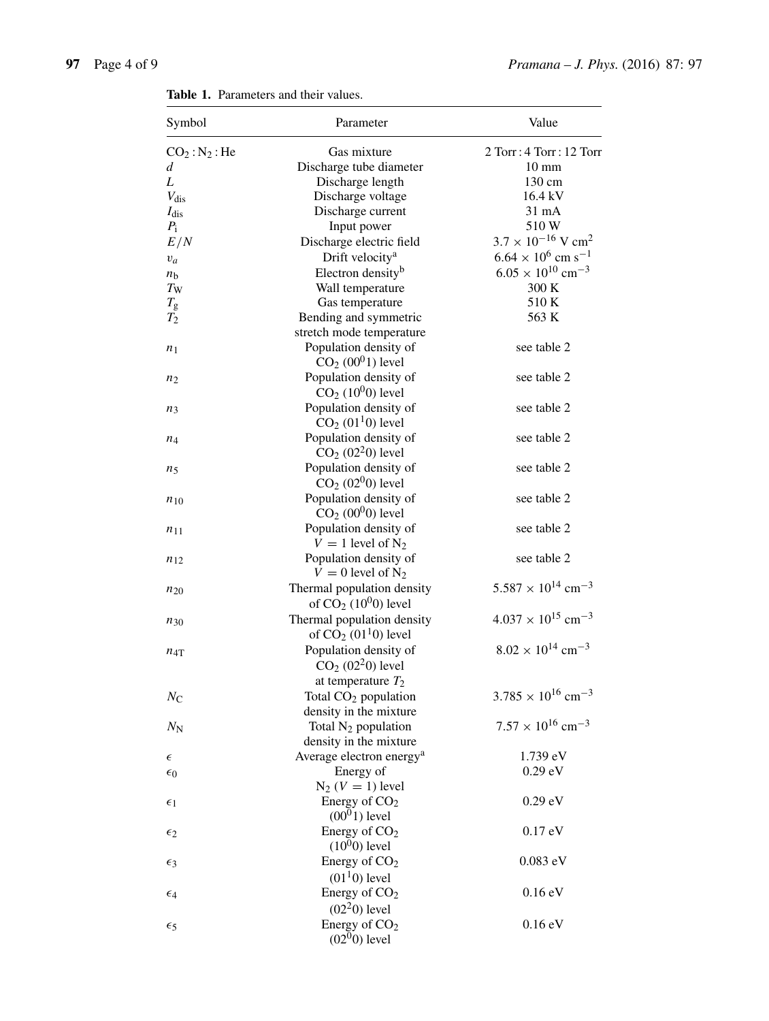| Symbol                                | Parameter                                      | Value                                   |
|---------------------------------------|------------------------------------------------|-----------------------------------------|
| CO <sub>2</sub> : N <sub>2</sub> : He | Gas mixture                                    | 2 Torr: 4 Torr: 12 Torr                 |
| d                                     | Discharge tube diameter                        | $10 \text{ mm}$                         |
| L                                     | Discharge length                               | 130 cm                                  |
| $V_{\text{dis}}$                      | Discharge voltage                              | 16.4 kV                                 |
| $I_{dis}$                             | Discharge current                              | 31 mA                                   |
| $P_i$                                 | Input power                                    | 510W                                    |
| E/N                                   | Discharge electric field                       | $3.7 \times 10^{-16}$ V cm <sup>2</sup> |
| $v_a$                                 | Drift velocity <sup>a</sup>                    | $6.64 \times 10^6$ cm s <sup>-1</sup>   |
| n <sub>b</sub>                        | Electron density <sup>b</sup>                  | $6.05 \times 10^{10}$ cm <sup>-3</sup>  |
| $T_{\rm W}$                           | Wall temperature                               | 300 K                                   |
| $T_{\rm g}$                           | Gas temperature                                | 510K                                    |
| $T_2$                                 | Bending and symmetric                          | 563 K                                   |
|                                       | stretch mode temperature                       |                                         |
| n <sub>1</sub>                        | Population density of                          | see table 2                             |
|                                       | $CO2 (0001)$ level                             |                                         |
| $n_2$                                 | Population density of                          | see table 2                             |
|                                       | $CO2 (1000)$ level                             |                                         |
| $n_3$                                 | Population density of                          | see table 2                             |
|                                       | $CO2$ (01 <sup>1</sup> 0) level                |                                         |
| $n_4$                                 | Population density of                          | see table 2                             |
|                                       | $CO2 (0220)$ level                             |                                         |
| n <sub>5</sub>                        | Population density of                          | see table 2                             |
|                                       | $CO2 (0200)$ level                             |                                         |
| $n_{10}$                              | Population density of                          | see table 2                             |
|                                       | $CO2 (0000)$ level                             |                                         |
| $n_{11}$                              | Population density of                          | see table 2                             |
|                                       | $V = 1$ level of N <sub>2</sub>                |                                         |
| $n_{12}$                              | Population density of                          | see table 2                             |
|                                       | $V = 0$ level of N <sub>2</sub>                | $5.587 \times 10^{14}$ cm <sup>-3</sup> |
| $n_{20}$                              | Thermal population density                     |                                         |
|                                       | of $CO_2$ (10 <sup>0</sup> 0) level            | $4.037 \times 10^{15}$ cm <sup>-3</sup> |
| $n_{30}$                              | Thermal population density                     |                                         |
|                                       | of $CO_2$ (01 <sup>1</sup> 0) level            | $8.02 \times 10^{14}$ cm <sup>-3</sup>  |
| $n_{4T}$                              | Population density of                          |                                         |
|                                       | $CO2 (0220)$ level                             |                                         |
|                                       | at temperature $T_2$                           |                                         |
| $N_{\rm C}$                           | Total CO <sub>2</sub> population               | $3.785 \times 10^{16}$ cm <sup>-3</sup> |
|                                       | density in the mixture                         |                                         |
| $N_{\rm N}$                           | Total $N_2$ population                         | $7.57 \times 10^{16}$ cm <sup>-3</sup>  |
|                                       | density in the mixture                         |                                         |
| $\epsilon$                            | Average electron energy <sup>a</sup>           | 1.739 eV                                |
| $\epsilon_0$                          | Energy of                                      | $0.29 \text{ eV}$                       |
|                                       | $N_2$ ( $V = 1$ ) level<br>Energy of $CO2$     | $0.29$ eV                               |
| $\epsilon_1$                          | $(00^01)$ level                                |                                         |
|                                       | Energy of $CO2$                                | $0.17$ eV                               |
| $\epsilon_2$                          | $(10^{0}0)$ level                              |                                         |
|                                       | Energy of $CO2$                                | 0.083 eV                                |
| $\epsilon_3$                          | $(0110)$ level                                 |                                         |
|                                       | Energy of CO <sub>2</sub>                      | $0.16 \text{ eV}$                       |
| $\epsilon_4$                          |                                                |                                         |
|                                       | $(0220)$ level                                 |                                         |
| $\epsilon_5$                          | Energy of CO <sub>2</sub><br>$(02^{0}0)$ level | $0.16 \text{ eV}$                       |
|                                       |                                                |                                         |

**Table 1.** Parameters and their values.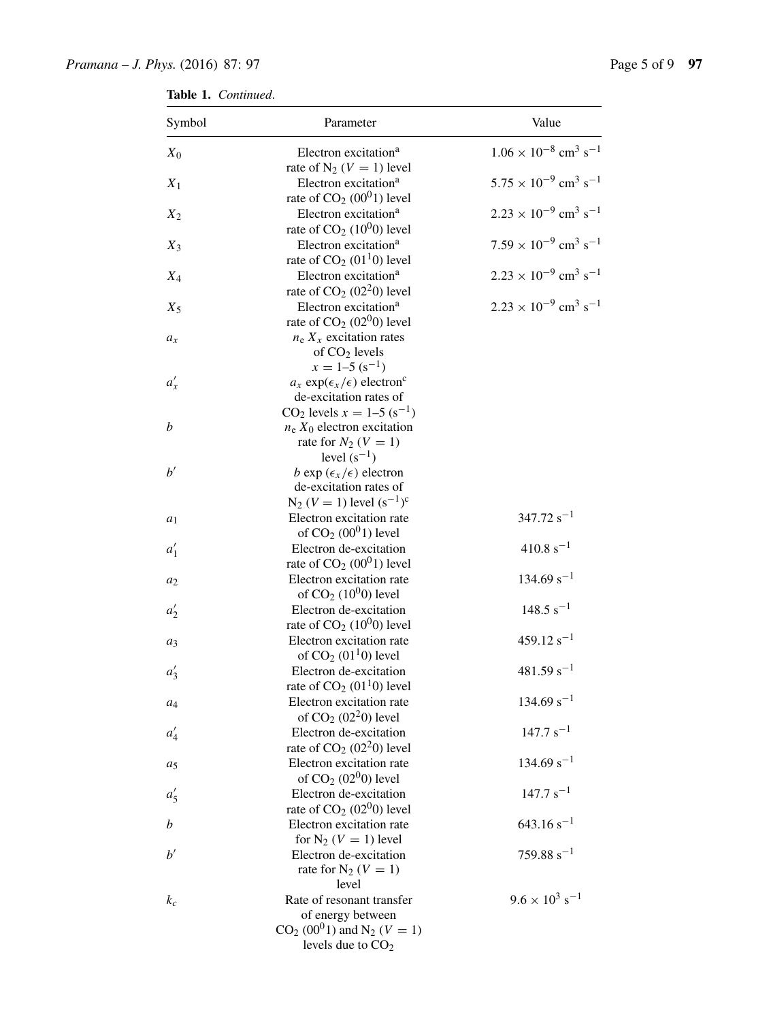**Table 1.** *Continued*.

| Symbol         | Parameter                                             | Value                                                 |
|----------------|-------------------------------------------------------|-------------------------------------------------------|
| $X_0$          | Electron excitation <sup>a</sup>                      | $1.06 \times 10^{-8}$ cm <sup>3</sup> s <sup>-1</sup> |
|                | rate of $N_2$ ( $V = 1$ ) level                       |                                                       |
| $X_1$          | Electron excitation <sup>a</sup>                      | $5.75 \times 10^{-9}$ cm <sup>3</sup> s <sup>-1</sup> |
|                | rate of $CO2$ (00 <sup>0</sup> 1) level               |                                                       |
| $X_2$          | Electron excitation <sup>a</sup>                      | $2.23 \times 10^{-9}$ cm <sup>3</sup> s <sup>-1</sup> |
|                | rate of $CO2$ (10 <sup>0</sup> 0) level               |                                                       |
| $X_3$          | Electron excitation <sup>a</sup>                      | $7.59 \times 10^{-9}$ cm <sup>3</sup> s <sup>-1</sup> |
|                | rate of $CO2$ (01 <sup>1</sup> 0) level               |                                                       |
| $X_4$          | Electron excitation <sup>a</sup>                      | $2.23 \times 10^{-9}$ cm <sup>3</sup> s <sup>-1</sup> |
|                | rate of $CO2$ (02 <sup>2</sup> 0) level               |                                                       |
| $X_5$          | Electron excitation <sup>a</sup>                      | $2.23 \times 10^{-9}$ cm <sup>3</sup> s <sup>-1</sup> |
|                | rate of $CO2$ (02 <sup>0</sup> 0) level               |                                                       |
| $a_x$          | $n_e X_x$ excitation rates                            |                                                       |
|                | of $CO2$ levels                                       |                                                       |
|                | $x = 1-5$ (s <sup>-1</sup> )                          |                                                       |
| $a'_x$         | $a_x \exp(\epsilon_x/\epsilon)$ electron <sup>c</sup> |                                                       |
|                | de-excitation rates of                                |                                                       |
|                | $CO_2$ levels $x = 1-5$ (s <sup>-1</sup> )            |                                                       |
|                | $n_e X_0$ electron excitation                         |                                                       |
|                | rate for $N_2$ ( $V = 1$ )                            |                                                       |
|                | level $(s^{-1})$                                      |                                                       |
| $b^{\prime}$   | b exp $(\epsilon_x/\epsilon)$ electron                |                                                       |
|                | de-excitation rates of                                |                                                       |
|                | $N_2$ (V = 1) level $(s^{-1})^c$                      |                                                       |
|                | Electron excitation rate                              | $347.72$ s <sup>-1</sup>                              |
| $a_1$          | of $CO_2$ (00 <sup>0</sup> 1) level                   |                                                       |
|                | Electron de-excitation                                | $410.8 s^{-1}$                                        |
| $a'_1$         | rate of $CO2$ (00 <sup>0</sup> 1) level               |                                                       |
|                | Electron excitation rate                              | $134.69 s^{-1}$                                       |
|                | of $CO_2$ (10 <sup>0</sup> 0) level                   |                                                       |
|                | Electron de-excitation                                | $148.5 s^{-1}$                                        |
|                | rate of $CO2$ (10 <sup>0</sup> 0) level               |                                                       |
| $a_3$          | Electron excitation rate                              | 459.12 $s^{-1}$                                       |
|                | of $CO_2$ (01 <sup>1</sup> 0) level                   |                                                       |
| $a'_3$         | Electron de-excitation                                | $481.59 s^{-1}$                                       |
|                | rate of $CO2$ (01 <sup>1</sup> 0) level               |                                                       |
| $a_4$          | Electron excitation rate                              | $134.69 s^{-1}$                                       |
|                | of $CO_2$ (02 <sup>2</sup> 0) level                   |                                                       |
| $a'_4$         | Electron de-excitation                                | $147.7 s^{-1}$                                        |
|                | rate of $CO2$ (02 <sup>2</sup> 0) level               |                                                       |
|                | Electron excitation rate                              | $134.69 s^{-1}$                                       |
| a <sub>5</sub> | of $CO_2$ (02 <sup>0</sup> 0) level                   |                                                       |
| $a'_{5}$       | Electron de-excitation                                | $147.7 s^{-1}$                                        |
|                | rate of $CO2$ (02 <sup>0</sup> 0) level               |                                                       |
|                | Electron excitation rate                              | $643.16 s^{-1}$                                       |
| b              | for $N_2$ ( $V = 1$ ) level                           |                                                       |
| $b^{\prime}$   | Electron de-excitation                                | $759.88 s^{-1}$                                       |
|                | rate for $N_2$ ( $V = 1$ )                            |                                                       |
|                | level                                                 |                                                       |
| $k_c$          | Rate of resonant transfer                             | $9.6 \times 10^3$ s <sup>-1</sup>                     |
|                | of energy between                                     |                                                       |
|                | $CO_2$ (00 <sup>0</sup> 1) and N <sub>2</sub> (V = 1) |                                                       |
|                |                                                       |                                                       |
|                | levels due to $CO2$                                   |                                                       |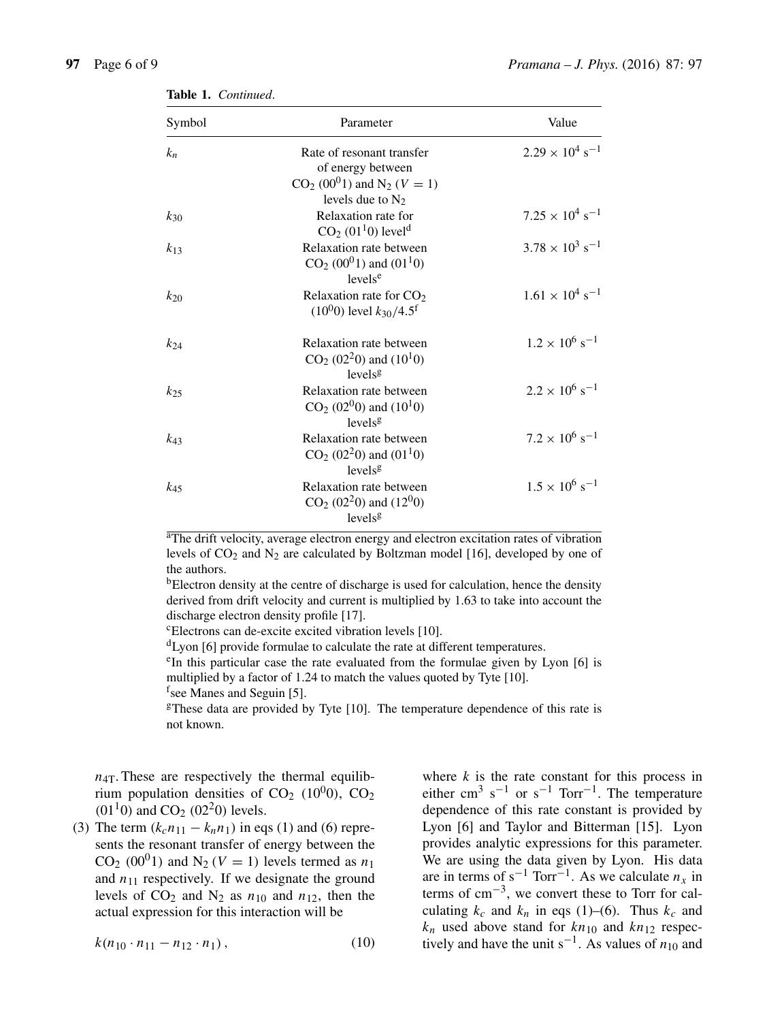| Symbol   | Parameter                                                                                                       | Value                              |
|----------|-----------------------------------------------------------------------------------------------------------------|------------------------------------|
| $k_n$    | Rate of resonant transfer<br>of energy between<br>$CO_2$ (00 <sup>0</sup> 1) and N <sub>2</sub> ( <i>V</i> = 1) | $2.29 \times 10^4 \text{ s}^{-1}$  |
|          | levels due to $N_2$                                                                                             |                                    |
| $k_{30}$ | Relaxation rate for<br>$CO_2$ (01 <sup>1</sup> 0) level <sup>d</sup>                                            | $7.25 \times 10^4$ s <sup>-1</sup> |
| $k_{13}$ | Relaxation rate between<br>$CO2$ (00 <sup>0</sup> 1) and (01 <sup>1</sup> 0)<br>levels <sup>e</sup>             | $3.78 \times 10^3 \text{ s}^{-1}$  |
| $k_{20}$ | Relaxation rate for $CO2$<br>$(10^{0}0)$ level $k_{30}/4.5$ <sup>f</sup>                                        | $1.61 \times 10^4$ s <sup>-1</sup> |
| $k_{24}$ | Relaxation rate between<br>$CO2$ (02 <sup>2</sup> 0) and (10 <sup>1</sup> 0)<br>levels <sup>g</sup>             | $1.2 \times 10^6$ s <sup>-1</sup>  |
| $k_{25}$ | Relaxation rate between<br>$CO2$ (02 <sup>0</sup> 0) and (10 <sup>1</sup> 0)<br>levels <sup>g</sup>             | $2.2 \times 10^6$ s <sup>-1</sup>  |
| $k_{43}$ | Relaxation rate between<br>$CO2$ (02 <sup>2</sup> 0) and (01 <sup>1</sup> 0)<br>levels <sup>g</sup>             | $7.2\times10^6\:{\rm s}^{-1}$      |
| $k_{45}$ | Relaxation rate between<br>$CO2$ (02 <sup>2</sup> 0) and (12 <sup>0</sup> 0)<br>levels <sup>g</sup>             | $1.5 \times 10^6$ s <sup>-1</sup>  |

|  | <b>Table 1.</b> Continued. |
|--|----------------------------|
|--|----------------------------|

<sup>a</sup>The drift velocity, average electron energy and electron excitation rates of vibration levels of  $CO_2$  and  $N_2$  are calculated by Boltzman model [16], developed by one of the authors.

<sup>b</sup>Electron density at the centre of discharge is used for calculation, hence the density derived from drift velocity and current is multiplied by 1.63 to take into account the discharge electron density profile [17].

cElectrons can de-excite excited vibration levels [10].

 $\rm ^d$ Lyon [6] provide formulae to calculate the rate at different temperatures.

 $e$ In this particular case the rate evaluated from the formulae given by Lyon [6] is multiplied by a factor of 1.24 to match the values quoted by Tyte [10].

<sup>f</sup>see Manes and Seguin [5].

<sup>g</sup>These data are provided by Tyte  $[10]$ . The temperature dependence of this rate is not known.

 $n_{4T}$ . These are respectively the thermal equilibrium population densities of  $CO<sub>2</sub>$  (10<sup>0</sup>0),  $CO<sub>2</sub>$  $(01<sup>1</sup>0)$  and CO<sub>2</sub>  $(02<sup>2</sup>0)$  levels.

(3) The term  $(k_c n_{11} - k_n n_1)$  in eqs (1) and (6) represents the resonant transfer of energy between the  $CO<sub>2</sub>$  (00<sup>0</sup>1) and N<sub>2</sub> (V = 1) levels termed as  $n_1$ and  $n_{11}$  respectively. If we designate the ground levels of  $CO_2$  and  $N_2$  as  $n_{10}$  and  $n_{12}$ , then the actual expression for this interaction will be

$$
k(n_{10} \cdot n_{11} - n_{12} \cdot n_1), \qquad (10)
$$

where  $k$  is the rate constant for this process in either cm<sup>3</sup> s<sup>-1</sup> or s<sup>-1</sup> Torr<sup>-1</sup>. The temperature dependence of this rate constant is provided by Lyon [6] and Taylor and Bitterman [15]. Lyon provides analytic expressions for this parameter. We are using the data given by Lyon. His data are in terms of  $s^{-1}$  Torr<sup>-1</sup>. As we calculate  $n_x$  in terms of  $cm^{-3}$ , we convert these to Torr for calculating  $k_c$  and  $k_n$  in eqs (1)–(6). Thus  $k_c$  and  $k_n$  used above stand for  $kn_{10}$  and  $kn_{12}$  respectively and have the unit s<sup>-1</sup>. As values of  $n_{10}$  and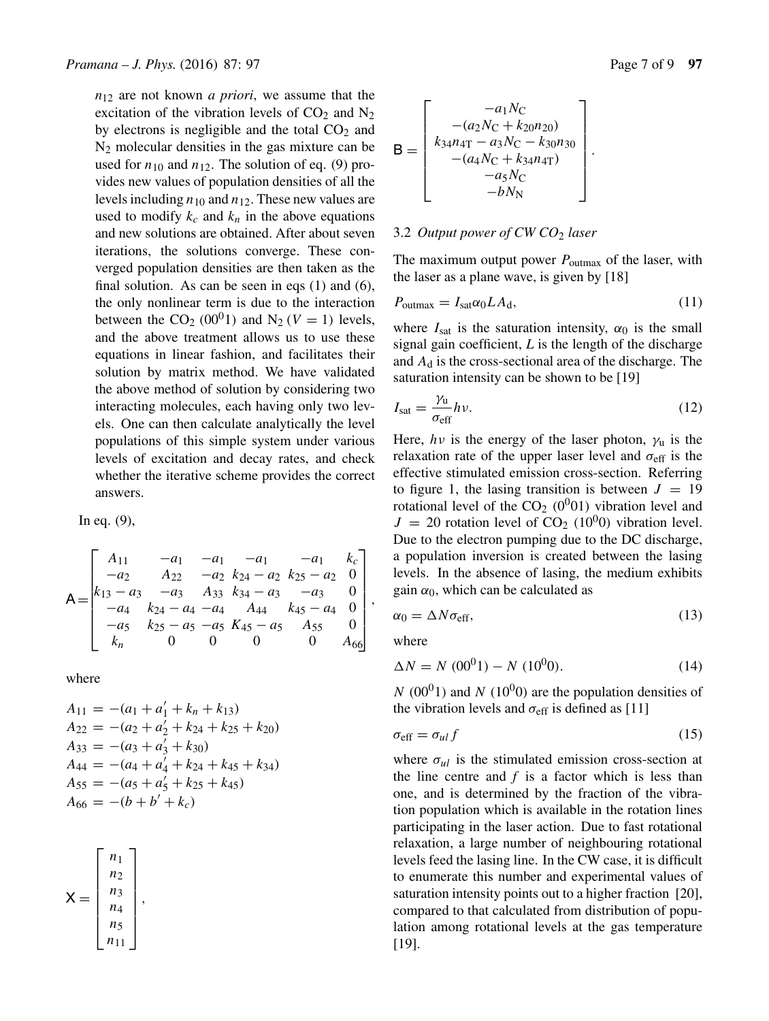*n*<sup>12</sup> are not known *a priori*, we assume that the excitation of the vibration levels of  $CO<sub>2</sub>$  and  $N<sub>2</sub>$ by electrons is negligible and the total  $CO<sub>2</sub>$  and  $N_2$  molecular densities in the gas mixture can be used for  $n_{10}$  and  $n_{12}$ . The solution of eq. (9) provides new values of population densities of all the levels including  $n_{10}$  and  $n_{12}$ . These new values are used to modify  $k_c$  and  $k_n$  in the above equations and new solutions are obtained. After about seven iterations, the solutions converge. These converged population densities are then taken as the final solution. As can be seen in eqs (1) and (6), the only nonlinear term is due to the interaction between the CO<sub>2</sub> (00<sup>0</sup>1) and N<sub>2</sub> ( $V = 1$ ) levels, and the above treatment allows us to use these equations in linear fashion, and facilitates their solution by matrix method. We have validated the above method of solution by considering two interacting molecules, each having only two levels. One can then calculate analytically the level populations of this simple system under various levels of excitation and decay rates, and check whether the iterative scheme provides the correct answers.

In eq. (9),

$$
A = \begin{bmatrix} A_{11} & -a_1 & -a_1 & -a_1 & k_c \\ -a_2 & A_{22} & -a_2 & k_{24} - a_2 & k_{25} - a_2 & 0 \\ k_{13} - a_3 & -a_3 & A_{33} & k_{34} - a_3 & -a_3 & 0 \\ -a_4 & k_{24} - a_4 & -a_4 & A_{44} & k_{45} - a_4 & 0 \\ -a_5 & k_{25} - a_5 & -a_5 & k_{45} - a_5 & A_{55} & 0 \\ k_n & 0 & 0 & 0 & 0 & A_{66} \end{bmatrix}
$$

where

$$
A_{11} = -(a_1 + a'_1 + k_n + k_{13})
$$
  
\n
$$
A_{22} = -(a_2 + a'_2 + k_{24} + k_{25} + k_{20})
$$
  
\n
$$
A_{33} = -(a_3 + a'_3 + k_{30})
$$
  
\n
$$
A_{44} = -(a_4 + a'_4 + k_{24} + k_{45} + k_{34})
$$
  
\n
$$
A_{55} = -(a_5 + a'_5 + k_{25} + k_{45})
$$
  
\n
$$
A_{66} = -(b + b' + k_c)
$$

$$
\mathsf{X} = \begin{bmatrix} n_1 \\ n_2 \\ n_3 \\ n_4 \\ n_5 \\ n_{11} \end{bmatrix},
$$

$$
\mathbf{B} = \begin{bmatrix} -a_1 N_{\rm C} \\ -(a_2 N_{\rm C} + k_{20} n_{20}) \\ k_{34} n_{4\rm T} - a_3 N_{\rm C} - k_{30} n_{30} \\ -(a_4 N_{\rm C} + k_{34} n_{4\rm T}) \\ -a_5 N_{\rm C} \\ -b N_{\rm N} \end{bmatrix}.
$$

# 3.2 *Output power of CW CO*<sup>2</sup> *laser*

The maximum output power  $P_{\text{outmax}}$  of the laser, with the laser as a plane wave, is given by [18]

$$
P_{\text{outmax}} = I_{\text{sat}} \alpha_0 L A_d, \qquad (11)
$$

where  $I_{\text{sat}}$  is the saturation intensity,  $\alpha_0$  is the small signal gain coefficient, *L* is the length of the discharge and  $A_d$  is the cross-sectional area of the discharge. The saturation intensity can be shown to be [19]

$$
I_{\rm sat} = \frac{\gamma_{\rm u}}{\sigma_{\rm eff}} h\nu.
$$
 (12)

Here,  $h\nu$  is the energy of the laser photon,  $\gamma$ <sub>u</sub> is the relaxation rate of the upper laser level and  $\sigma_{\text{eff}}$  is the effective stimulated emission cross-section. Referring to figure 1, the lasing transition is between  $J = 19$ rotational level of the  $CO<sub>2</sub>$  (0<sup>0</sup>01) vibration level and  $J = 20$  rotation level of CO<sub>2</sub> (10<sup>0</sup>0) vibration level. Due to the electron pumping due to the DC discharge, a population inversion is created between the lasing levels. In the absence of lasing, the medium exhibits gain  $\alpha_0$ , which can be calculated as

$$
\alpha_0 = \Delta N \sigma_{\rm eff},\tag{13}
$$

where

,

$$
\Delta N = N (00^0 1) - N (10^0 0). \tag{14}
$$

N (00<sup>0</sup>1) and N (10<sup>0</sup>0) are the population densities of the vibration levels and  $\sigma_{\text{eff}}$  is defined as [11]

$$
\sigma_{\rm eff} = \sigma_{ul} f \tag{15}
$$

where  $\sigma_{ul}$  is the stimulated emission cross-section at the line centre and  $f$  is a factor which is less than one, and is determined by the fraction of the vibration population which is available in the rotation lines participating in the laser action. Due to fast rotational relaxation, a large number of neighbouring rotational levels feed the lasing line. In the CW case, it is difficult to enumerate this number and experimental values of saturation intensity points out to a higher fraction [20], compared to that calculated from distribution of population among rotational levels at the gas temperature [19].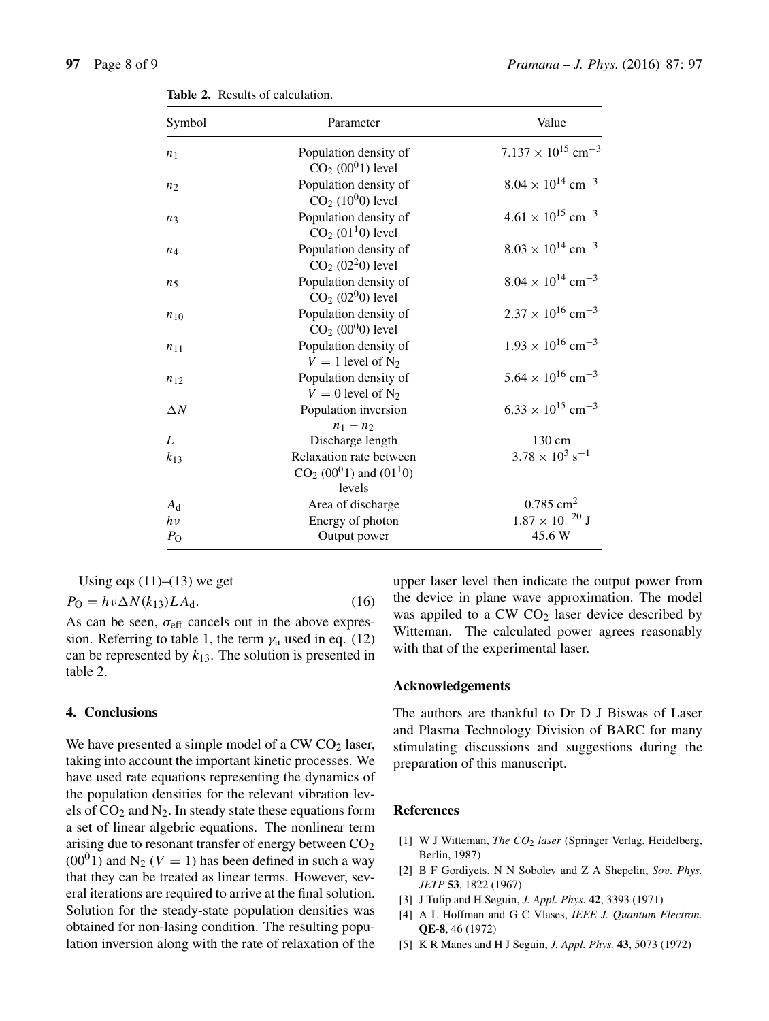| Symbol         | Parameter                                                                              | Value                                   |
|----------------|----------------------------------------------------------------------------------------|-----------------------------------------|
| $n_1$          | Population density of<br>$CO_2$ (00 <sup>0</sup> 1) level                              | $7.137 \times 10^{15}$ cm <sup>-3</sup> |
| n <sub>2</sub> | Population density of<br>$CO_2$ (10 <sup>0</sup> 0) level                              | $8.04 \times 10^{14}$ cm <sup>-3</sup>  |
| $n_3$          | Population density of<br>$CO2$ (01 <sup>1</sup> 0) level                               | $4.61 \times 10^{15}$ cm <sup>-3</sup>  |
| $n_4$          | Population density of<br>$CO_2$ (02 <sup>2</sup> 0) level                              | $8.03 \times 10^{14}$ cm <sup>-3</sup>  |
| n <sub>5</sub> | Population density of<br>$CO_2 (02^0)$ level                                           | $8.04 \times 10^{14}$ cm <sup>-3</sup>  |
| $n_{10}$       | Population density of<br>$CO2 (0000)$ level                                            | $2.37 \times 10^{16}$ cm <sup>-3</sup>  |
| $n_{11}$       | Population density of<br>$V = 1$ level of N <sub>2</sub>                               | $1.93 \times 10^{16}$ cm <sup>-3</sup>  |
| $n_{12}$       | Population density of<br>$V = 0$ level of N <sub>2</sub>                               | $5.64 \times 10^{16}$ cm <sup>-3</sup>  |
| $\Delta N$     | Population inversion<br>$n_1 - n_2$                                                    | $6.33 \times 10^{15}$ cm <sup>-3</sup>  |
| L              | Discharge length                                                                       | $130 \text{ cm}$                        |
| $k_{13}$       | Relaxation rate between<br>$CO2$ (00 <sup>0</sup> 1) and (01 <sup>1</sup> 0)<br>levels | $3.78 \times 10^3$ s <sup>-1</sup>      |
| $A_d$          | Area of discharge                                                                      | $0.785$ cm <sup>2</sup>                 |
| $h\nu$         | Energy of photon                                                                       | $1.87 \times 10^{-20}$ J                |
| $P_{\rm O}$    | Output power                                                                           | 45.6 W                                  |

**Table 2.** Results of calculation.

| Using eqs $(11)$ – $(13)$ we get                |      |
|-------------------------------------------------|------|
| $P_{\rm O} = h v \Delta N(k_{13}) L A_{\rm d}.$ | (16) |

As can be seen,  $\sigma_{\text{eff}}$  cancels out in the above expression. Referring to table 1, the term  $\gamma$ <sub>u</sub> used in eq. (12) can be represented by  $k_{13}$ . The solution is presented in table 2.

# **4. Conclusions**

We have presented a simple model of a CW  $CO<sub>2</sub>$  laser, taking into account the important kinetic processes. We have used rate equations representing the dynamics of the population densities for the relevant vibration levels of  $CO<sub>2</sub>$  and N<sub>2</sub>. In steady state these equations form a set of linear algebric equations. The nonlinear term arising due to resonant transfer of energy between CO<sub>2</sub>  $(00<sup>0</sup>1)$  and N<sub>2</sub> (V = 1) has been defined in such a way that they can be treated as linear terms. However, several iterations are required to arrive at the final solution. Solution for the steady-state population densities was obtained for non-lasing condition. The resulting population inversion along with the rate of relaxation of the upper laser level then indicate the output power from the device in plane wave approximation. The model was appiled to a  $CW CO<sub>2</sub>$  laser device described by Witteman. The calculated power agrees reasonably with that of the experimental laser.

## **Acknowledgements**

The authors are thankful to Dr D J Biswas of Laser and Plasma Technology Division of BARC for many stimulating discussions and suggestions during the preparation of this manuscript.

## **References**

- [1] W J Witteman, *The CO*<sup>2</sup> *laser* (Springer Verlag, Heidelberg, Berlin, 1987)
- [2] B F Gordiyets, N N Sobolev and Z A Shepelin, *So*v*. Phys. JETP* **53**, 1822 (1967)
- [3] J Tulip and H Seguin, *J. Appl. Phys.* **42**, 3393 (1971)
- [4] A L Hoffman and G C Vlases, *IEEE J. Quantum Electron.* **QE-8**, 46 (1972)
- [5] K R Manes and H J Seguin, *J. Appl. Phys.* **43**, 5073 (1972)